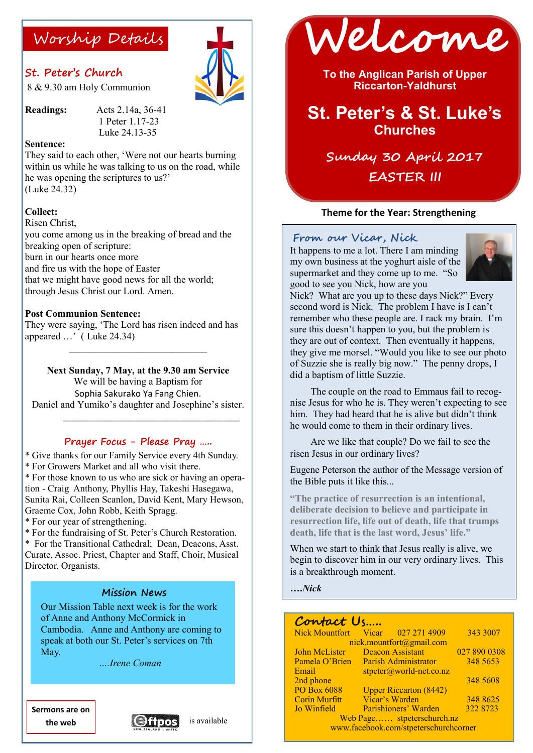# **St. Peter's Church**

8 & 9.30 am Holy Communion

**Readings:** Acts 2.14a, 36-41 1 Peter 1.17-23 Luke 24.13-35

#### **Sentence:**

They said to each other, 'Were not our hearts burning within us while he was talking to us on the road, while he was opening the scriptures to us?' (Luke 24.32)

#### **Collect:**

Risen Christ,

you come among us in the breaking of bread and the breaking open of scripture: burn in our hearts once more and fire us with the hope of Easter that we might have good news for all the world; through Jesus Christ our Lord. Amen.

#### **Post Communion Sentence:**

They were saying, 'The Lord has risen indeed and has appeared …' ( Luke 24.34)

**Next Sunday, 7 May, at the 9.30 am Service**

\_\_\_\_\_\_\_\_\_\_\_\_\_\_\_\_\_\_\_\_\_\_\_\_\_\_\_\_

We will be having a Baptism for Sophia Sakurako Ya Fang Chien. Daniel and Yumiko's daughter and Josephine's sister.

 $\mathcal{L} = \{ \mathcal{L} \mid \mathcal{L} \in \mathcal{L} \}$  , where  $\mathcal{L} = \{ \mathcal{L} \mid \mathcal{L} \in \mathcal{L} \}$  , where  $\mathcal{L} = \{ \mathcal{L} \mid \mathcal{L} \in \mathcal{L} \}$ 

### **Prayer Focus - Please Pray …..**

\* Give thanks for our Family Service every 4th Sunday. \* For Growers Market and all who visit there.

\* For those known to us who are sick or having an operation - Craig Anthony, Phyllis Hay, Takeshi Hasegawa, Sunita Rai, Colleen Scanlon, David Kent, Mary Hewson, Graeme Cox, John Robb, Keith Spragg.

\* For our year of strengthening.

\* For the fundraising of St. Peter's Church Restoration.

\* For the Transitional Cathedral; Dean, Deacons, Asst. Curate, Assoc. Priest, Chapter and Staff, Choir, Musical Director, Organists.

### **Mission News**

Our Mission Table next week is for the work of Anne and Anthony McCormick in Cambodia. Anne and Anthony are coming to speak at both our St. Peter's services on 7th May.

 *….Irene Coman* 

**Sermons are on the web**





**To the Anglican Parish of Upper Riccarton-Yaldhurst**

# **St. Peter's & St. Luke's Churches**

**Sunday 30 April 2017 EASTER III**

#### **Theme for the Year: Strengthening**

#### **From our Vicar, Nick**

It happens to me a lot. There I am minding my own business at the yoghurt aisle of the supermarket and they come up to me. "So good to see you Nick, how are you



Nick? What are you up to these days Nick?" Every second word is Nick. The problem I have is I can't remember who these people are. I rack my brain. I'm sure this doesn't happen to you, but the problem is they are out of context. Then eventually it happens, they give me morsel. "Would you like to see our photo of Suzzie she is really big now." The penny drops, I did a baptism of little Suzzie.

The couple on the road to Emmaus fail to recognise Jesus for who he is. They weren't expecting to see him. They had heard that he is alive but didn't think he would come to them in their ordinary lives.

Are we like that couple? Do we fail to see the risen Jesus in our ordinary lives?

Eugene Peterson the author of the Message version of the Bible puts it like this...

**"The practice of resurrection is an intentional, deliberate decision to believe and participate in resurrection life, life out of death, life that trumps death, life that is the last word, Jesus' life."**

When we start to think that Jesus really is alive, we begin to discover him in our very ordinary lives. This is a breakthrough moment.

**….***Nick*

### **Contact Us…..**

|                                       | Nick Mountfort Vicar 027 271 4909 | 343 3007     |  |
|---------------------------------------|-----------------------------------|--------------|--|
| nick.mountfort@gmail.com              |                                   |              |  |
| John McLister                         | <b>Deacon Assistant</b>           | 027 890 0308 |  |
| Pamela O'Brien                        | <b>Parish Administrator</b>       | 348 5653     |  |
| Email                                 | $stpeter@world-net.co.nz$         |              |  |
| 2nd phone                             |                                   | 348 5608     |  |
| <b>PO Box 6088</b>                    | <b>Upper Riccarton (8442)</b>     |              |  |
| <b>Corin Murfitt</b>                  | Vicar's Warden                    | 348 8625     |  |
| Jo Winfield                           | Parishioners' Warden              | 322 8723     |  |
| Web Page stpeterschurch.nz            |                                   |              |  |
| www.facebook.com/stpeterschurchcorner |                                   |              |  |